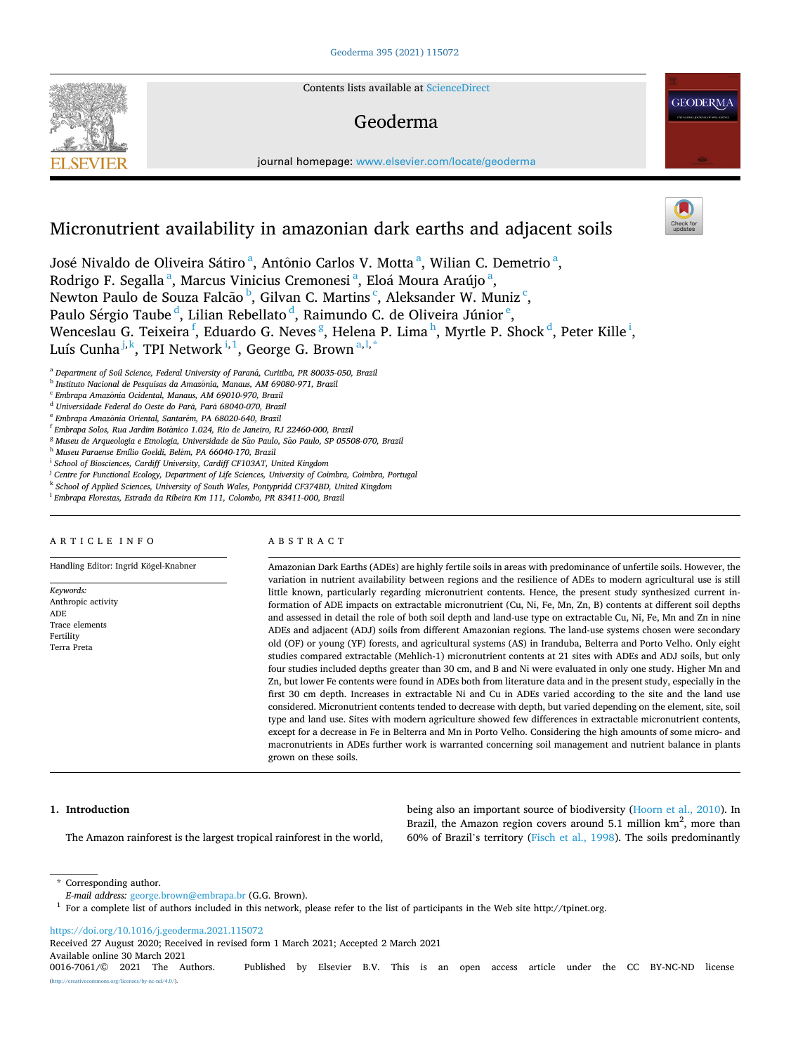Contents lists available at [ScienceDirect](www.sciencedirect.com/science/journal/00167061)

# Geoderma

journal homepage: [www.elsevier.com/locate/geoderma](https://www.elsevier.com/locate/geoderma) 

# Micronutrient availability in amazonian dark earths and adjacent soils

José Nivaldo de Oliveira Sátiro<sup>a</sup>, Antônio Carlos V. Motta<sup>a</sup>, Wilian C. Demetrio<sup>a</sup>, Rodrigo F. Segalla<sup>a</sup>, Marcus Vinicius Cremonesi<sup>a</sup>, Eloá Moura Araújo<sup>a</sup>, Newton Paulo de Souza Falcão <sup>b</sup>, Gilvan C. Martins <sup>c</sup>, Aleksander W. Muniz <sup>c</sup>, Paulo Sérgio Taube <sup>d</sup>, Lilian Rebellato <sup>d</sup>, Raimundo C. de Oliveira Júnior <sup>e</sup>, Wenceslau G. Teixeira <sup>f</sup>, Eduardo G. Neves <sup>g</sup>, Helena P. Lima h, Myrtle P. Shock <sup>d</sup>, Peter Kille <sup>i</sup>, Luís Cunha<sup>j,k</sup>, TPI Network<sup>i,1</sup>, George G. Brown<sup>a,l,\*</sup>

<sup>a</sup> Department of Soil Science, Federal University of Paraná, Curitiba, PR 80035-050, Brazil

<sup>b</sup> Instituto Nacional de Pesquisas da Amazônia, Manaus, AM 69080-971, Brazil

<sup>c</sup> *Embrapa Amazonia* ˆ *Ocidental, Manaus, AM 69010-970, Brazil* 

<sup>d</sup> Universidade Federal do Oeste do Pará, Pará 68040-070, Brazil

<sup>e</sup> Embrapa Amazônia Oriental, Santarém, PA 68020-640, Brazil

<sup>f</sup> Embrapa Solos, Rua Jardim Botânico 1.024, Rio de Janeiro, RJ 22460-000, Brazil

<sup>g</sup> Museu de Arqueologia e Etnologia, Universidade de São Paulo, São Paulo, SP 05508-070, Brazil

<sup>h</sup> *Museu Paraense Emílio Goeldi, Bel*´*em, PA 66040-170, Brazil* 

<sup>i</sup> School of Biosciences, Cardiff University, Cardiff CF103AT, United Kingdom

<sup>j</sup> Centre for Functional Ecology, Department of Life Sciences, University of Coimbra, Coimbra, Portugal

<sup>k</sup> *School of Applied Sciences, University of South Wales, Pontypridd CF374BD, United Kingdom* 

<sup>l</sup> *Embrapa Florestas, Estrada da Ribeira Km 111, Colombo, PR 83411-000, Brazil* 

#### ARTICLE INFO

**SEVIER** 

*Keywords:*  Anthropic activity

ADE Trace elements Fertility Terra Preta

Handling Editor: Ingrid Kögel-Knabner

ABSTRACT

Amazonian Dark Earths (ADEs) are highly fertile soils in areas with predominance of unfertile soils. However, the variation in nutrient availability between regions and the resilience of ADEs to modern agricultural use is still little known, particularly regarding micronutrient contents. Hence, the present study synthesized current information of ADE impacts on extractable micronutrient (Cu, Ni, Fe, Mn, Zn, B) contents at different soil depths and assessed in detail the role of both soil depth and land-use type on extractable Cu, Ni, Fe, Mn and Zn in nine ADEs and adjacent (ADJ) soils from different Amazonian regions. The land-use systems chosen were secondary old (OF) or young (YF) forests, and agricultural systems (AS) in Iranduba, Belterra and Porto Velho. Only eight studies compared extractable (Mehlich-1) micronutrient contents at 21 sites with ADEs and ADJ soils, but only four studies included depths greater than 30 cm, and B and Ni were evaluated in only one study. Higher Mn and Zn, but lower Fe contents were found in ADEs both from literature data and in the present study, especially in the first 30 cm depth. Increases in extractable Ni and Cu in ADEs varied according to the site and the land use considered. Micronutrient contents tended to decrease with depth, but varied depending on the element, site, soil type and land use. Sites with modern agriculture showed few differences in extractable micronutrient contents, except for a decrease in Fe in Belterra and Mn in Porto Velho. Considering the high amounts of some micro- and macronutrients in ADEs further work is warranted concerning soil management and nutrient balance in plants grown on these soils.

> being also an important source of biodiversity ([Hoorn et al., 2010\)](#page-9-0). In Brazil, the Amazon region covers around 5.1 million  $km^2$ , more than 60% of Brazil's territory [\(Fisch et al., 1998\)](#page-9-0). The soils predominantly

## **1. Introduction**

The Amazon rainforest is the largest tropical rainforest in the world,

<https://doi.org/10.1016/j.geoderma.2021.115072>

Available online 30 March 2021<br>0016-7061/© 2021 The Authors. Published by Elsevier B.V. This is an open access article under the CC BY-NC-ND license Received 27 August 2020; Received in revised form 1 March 2021; Accepted 2 March 2021

s.org/licenses/by-nc-nd/4.0/).





<sup>\*</sup> Corresponding author.<br>E-mail address: george.brown@embrapa.br (G.G. Brown).

<sup>&</sup>lt;sup>1</sup> For a complete list of authors included in this network, please refer to the list of participants in the Web site http://tpinet.org.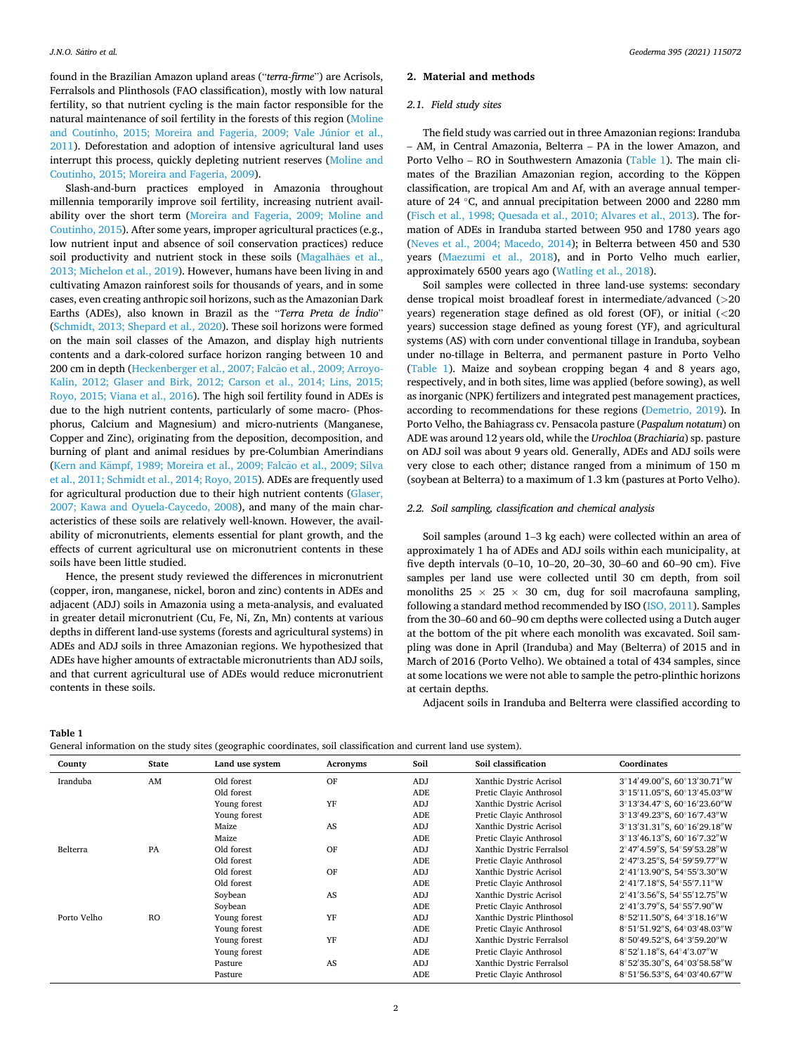<span id="page-1-0"></span>found in the Brazilian Amazon upland areas ("*terra-firme*") are Acrisols, Ferralsols and Plinthosols (FAO classification), mostly with low natural fertility, so that nutrient cycling is the main factor responsible for the natural maintenance of soil fertility in the forests of this region [\(Moline](#page-10-0)  [and Coutinho, 2015; Moreira and Fageria, 2009; Vale Júnior et al.,](#page-10-0)  [2011\)](#page-10-0). Deforestation and adoption of intensive agricultural land uses interrupt this process, quickly depleting nutrient reserves [\(Moline and](#page-10-0)  [Coutinho, 2015; Moreira and Fageria, 2009\)](#page-10-0).

Slash-and-burn practices employed in Amazonia throughout millennia temporarily improve soil fertility, increasing nutrient availability over the short term [\(Moreira and Fageria, 2009; Moline and](#page-10-0)  [Coutinho, 2015\)](#page-10-0). After some years, improper agricultural practices (e.g., low nutrient input and absence of soil conservation practices) reduce soil productivity and nutrient stock in these soils (Magalhães et al., [2013; Michelon et al., 2019](#page-9-0)). However, humans have been living in and cultivating Amazon rainforest soils for thousands of years, and in some cases, even creating anthropic soil horizons, such as the Amazonian Dark Earths (ADEs), also known in Brazil as the "*Terra Preta de* ´*Indio*" ([Schmidt, 2013; Shepard et al., 2020](#page-10-0)). These soil horizons were formed on the main soil classes of the Amazon, and display high nutrients contents and a dark-colored surface horizon ranging between 10 and 200 cm in depth (Heckenberger et al., 2007; Falcão et al., 2009; Arroyo-[Kalin, 2012; Glaser and Birk, 2012; Carson et al., 2014; Lins, 2015;](#page-9-0)  [Royo, 2015; Viana et al., 2016](#page-9-0)). The high soil fertility found in ADEs is due to the high nutrient contents, particularly of some macro- (Phosphorus, Calcium and Magnesium) and micro-nutrients (Manganese, Copper and Zinc), originating from the deposition, decomposition, and burning of plant and animal residues by pre-Columbian Amerindians (Kern and Kämpf, 1989; Moreira et al., 2009; Falcão et al., 2009; Silva [et al., 2011; Schmidt et al., 2014; Royo, 2015](#page-9-0)). ADEs are frequently used for agricultural production due to their high nutrient contents [\(Glaser,](#page-9-0)  [2007; Kawa and Oyuela-Caycedo, 2008](#page-9-0)), and many of the main characteristics of these soils are relatively well-known. However, the availability of micronutrients, elements essential for plant growth, and the effects of current agricultural use on micronutrient contents in these soils have been little studied.

Hence, the present study reviewed the differences in micronutrient (copper, iron, manganese, nickel, boron and zinc) contents in ADEs and adjacent (ADJ) soils in Amazonia using a meta-analysis, and evaluated in greater detail micronutrient (Cu, Fe, Ni, Zn, Mn) contents at various depths in different land-use systems (forests and agricultural systems) in ADEs and ADJ soils in three Amazonian regions. We hypothesized that ADEs have higher amounts of extractable micronutrients than ADJ soils, and that current agricultural use of ADEs would reduce micronutrient contents in these soils.

## **2. Material and methods**

## *2.1. Field study sites*

The field study was carried out in three Amazonian regions: Iranduba – AM, in Central Amazonia, Belterra – PA in the lower Amazon, and Porto Velho – RO in Southwestern Amazonia (Table 1). The main climates of the Brazilian Amazonian region, according to the Köppen classification, are tropical Am and Af, with an average annual temperature of 24 ◦C, and annual precipitation between 2000 and 2280 mm ([Fisch et al., 1998; Quesada et al., 2010; Alvares et al., 2013\)](#page-9-0). The formation of ADEs in Iranduba started between 950 and 1780 years ago ([Neves et al., 2004; Macedo, 2014](#page-10-0)); in Belterra between 450 and 530 years [\(Maezumi et al., 2018\)](#page-9-0), and in Porto Velho much earlier, approximately 6500 years ago [\(Watling et al., 2018](#page-10-0)).

Soil samples were collected in three land-use systems: secondary dense tropical moist broadleaf forest in intermediate/advanced (*>*20 years) regeneration stage defined as old forest (OF), or initial (*<*20 years) succession stage defined as young forest (YF), and agricultural systems (AS) with corn under conventional tillage in Iranduba, soybean under no-tillage in Belterra, and permanent pasture in Porto Velho (Table 1). Maize and soybean cropping began 4 and 8 years ago, respectively, and in both sites, lime was applied (before sowing), as well as inorganic (NPK) fertilizers and integrated pest management practices, according to recommendations for these regions [\(Demetrio, 2019](#page-9-0)). In Porto Velho, the Bahiagrass cv. Pensacola pasture (*Paspalum notatum*) on ADE was around 12 years old, while the *Urochloa* (*Brachiaria*) sp. pasture on ADJ soil was about 9 years old. Generally, ADEs and ADJ soils were very close to each other; distance ranged from a minimum of 150 m (soybean at Belterra) to a maximum of 1.3 km (pastures at Porto Velho).

## *2.2. Soil sampling, classification and chemical analysis*

Soil samples (around 1–3 kg each) were collected within an area of approximately 1 ha of ADEs and ADJ soils within each municipality, at five depth intervals (0–10, 10–20, 20–30, 30–60 and 60–90 cm). Five samples per land use were collected until 30 cm depth, from soil monoliths  $25 \times 25 \times 30$  cm, dug for soil macrofauna sampling, following a standard method recommended by ISO [\(ISO, 2011\)](#page-9-0). Samples from the 30–60 and 60–90 cm depths were collected using a Dutch auger at the bottom of the pit where each monolith was excavated. Soil sampling was done in April (Iranduba) and May (Belterra) of 2015 and in March of 2016 (Porto Velho). We obtained a total of 434 samples, since at some locations we were not able to sample the petro-plinthic horizons at certain depths.

Adjacent soils in Iranduba and Belterra were classified according to

**Table 1** 

| General information on the study sites (geographic coordinates, soil classification and current land use system). |  |  |  |  |  |  |  |  |  |  |  |  |  |
|-------------------------------------------------------------------------------------------------------------------|--|--|--|--|--|--|--|--|--|--|--|--|--|
|-------------------------------------------------------------------------------------------------------------------|--|--|--|--|--|--|--|--|--|--|--|--|--|

| County      | <b>State</b> | Land use system | Acronyms | Soil | Soil classification        | Coordinates                 |
|-------------|--------------|-----------------|----------|------|----------------------------|-----------------------------|
| Iranduba    | AM           | Old forest      | OF       | ADJ  | Xanthic Dystric Acrisol    | 3°14'49.00"S, 60°13'30.71"W |
|             |              | Old forest      |          | ADE  | Pretic Clavic Anthrosol    | 3°15'11.05"S, 60°13'45.03"W |
|             |              | Young forest    | YF       | ADJ  | Xanthic Dystric Acrisol    | 3°13'34.47°S, 60°16'23.60"W |
|             |              | Young forest    |          | ADE  | Pretic Clayic Anthrosol    | 3°13'49.23"S, 60°16'7.43"W  |
|             |              | Maize           | AS       | ADJ  | Xanthic Dystric Acrisol    | 3°13'31.31"S, 60°16'29.18"W |
|             |              | Maize           |          | ADE  | Pretic Clavic Anthrosol    | 3°13'46.13"S, 60°16'7.32"W  |
| Belterra    | PA           | Old forest      | OF       | ADJ  | Xanthic Dystric Ferralsol  | 2°47'4.59"S, 54°59'53.28"W  |
|             |              | Old forest      |          | ADE  | Pretic Clayic Anthrosol    | 2°47'3.25"S, 54°59'59.77"W  |
|             |              | Old forest      | OF       | ADJ  | Xanthic Dystric Acrisol    | 2°41'13.90"S, 54°55'3.30"W  |
|             |              | Old forest      |          | ADE  | Pretic Clayic Anthrosol    | 2°41'7.18"S, 54°55'7.11"W   |
|             |              | Soybean         | AS       | ADJ  | Xanthic Dystric Acrisol    | 2°41'3.56"S, 54°55'12.75"W  |
|             |              | Soybean         |          | ADE  | Pretic Clavic Anthrosol    | 2°41'3.79"S, 54°55'7.90"W   |
| Porto Velho | <b>RO</b>    | Young forest    | YF       | ADJ  | Xanthic Dystric Plinthosol | 8°52'11.50"S, 64°3'18.16"W  |
|             |              | Young forest    |          | ADE  | Pretic Clayic Anthrosol    | 8°51'51.92"S, 64°03'48.03"W |
|             |              | Young forest    | YF       | ADJ  | Xanthic Dystric Ferralsol  | 8°50'49.52"S, 64°3'59.20"W  |
|             |              | Young forest    |          | ADE  | Pretic Clayic Anthrosol    | 8°52'1.18"S, 64°4'3.07"W    |
|             |              | Pasture         | AS       | ADJ  | Xanthic Dystric Ferralsol  | 8°52'35.30"S, 64°03'58.58"W |
|             |              | Pasture         |          | ADE  | Pretic Clayic Anthrosol    | 8°51'56.53"S, 64°03'40.67"W |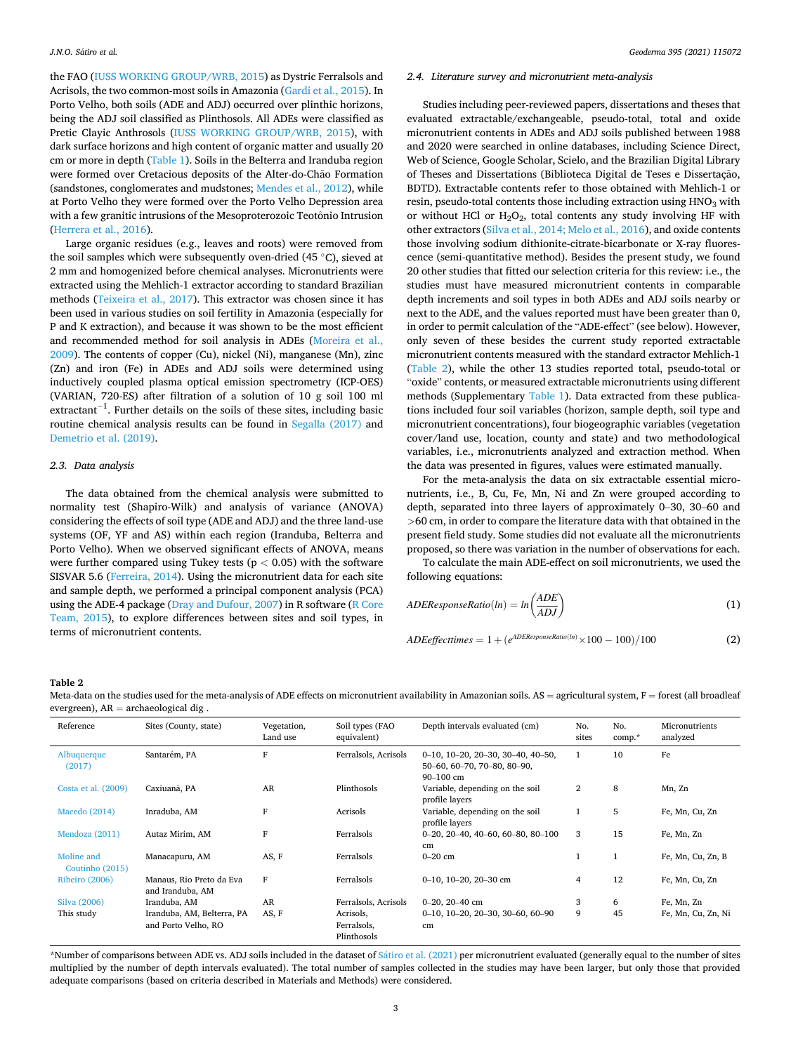<span id="page-2-0"></span>the FAO [\(IUSS WORKING GROUP/WRB, 2015](#page-9-0)) as Dystric Ferralsols and Acrisols, the two common-most soils in Amazonia [\(Gardi et al., 2015\)](#page-9-0). In Porto Velho, both soils (ADE and ADJ) occurred over plinthic horizons, being the ADJ soil classified as Plinthosols. All ADEs were classified as Pretic Clayic Anthrosols [\(IUSS WORKING GROUP/WRB, 2015\)](#page-9-0), with dark surface horizons and high content of organic matter and usually 20 cm or more in depth ([Table 1\)](#page-1-0). Soils in the Belterra and Iranduba region were formed over Cretacious deposits of the Alter-do-Chao Formation (sandstones, conglomerates and mudstones; [Mendes et al., 2012\)](#page-9-0), while at Porto Velho they were formed over the Porto Velho Depression area with a few granitic intrusions of the Mesoproterozoic Teotônio Intrusion ([Herrera et al., 2016](#page-9-0)).

Large organic residues (e.g., leaves and roots) were removed from the soil samples which were subsequently oven-dried (45 ◦C), sieved at 2 mm and homogenized before chemical analyses. Micronutrients were extracted using the Mehlich-1 extractor according to standard Brazilian methods [\(Teixeira et al., 2017](#page-10-0)). This extractor was chosen since it has been used in various studies on soil fertility in Amazonia (especially for P and K extraction), and because it was shown to be the most efficient and recommended method for soil analysis in ADEs ([Moreira et al.,](#page-10-0)  [2009\)](#page-10-0). The contents of copper (Cu), nickel (Ni), manganese (Mn), zinc (Zn) and iron (Fe) in ADEs and ADJ soils were determined using inductively coupled plasma optical emission spectrometry (ICP-OES) (VARIAN, 720-ES) after filtration of a solution of 10 g soil 100 ml extractant<sup>-1</sup>. Further details on the soils of these sites, including basic routine chemical analysis results can be found in [Segalla \(2017\)](#page-10-0) and [Demetrio et al. \(2019\).](#page-9-0)

#### *2.3. Data analysis*

The data obtained from the chemical analysis were submitted to normality test (Shapiro-Wilk) and analysis of variance (ANOVA) considering the effects of soil type (ADE and ADJ) and the three land-use systems (OF, YF and AS) within each region (Iranduba, Belterra and Porto Velho). When we observed significant effects of ANOVA, means were further compared using Tukey tests (p *<* 0.05) with the software SISVAR 5.6 [\(Ferreira, 2014\)](#page-9-0). Using the micronutrient data for each site and sample depth, we performed a principal component analysis (PCA) using the ADE-4 package [\(Dray and Dufour, 2007\)](#page-9-0) in R software [\(R Core](#page-10-0)  [Team, 2015\)](#page-10-0), to explore differences between sites and soil types, in terms of micronutrient contents.

#### *2.4. Literature survey and micronutrient meta-analysis*

Studies including peer-reviewed papers, dissertations and theses that evaluated extractable/exchangeable, pseudo-total, total and oxide micronutrient contents in ADEs and ADJ soils published between 1988 and 2020 were searched in online databases, including Science Direct, Web of Science, Google Scholar, Scielo, and the Brazilian Digital Library of Theses and Dissertations (Biblioteca Digital de Teses e Dissertação, BDTD). Extractable contents refer to those obtained with Mehlich-1 or resin, pseudo-total contents those including extraction using  $HNO<sub>3</sub>$  with or without HCl or  $H_2O_2$ , total contents any study involving HF with other extractors [\(Silva et al., 2014; Melo et al., 2016\)](#page-10-0), and oxide contents those involving sodium dithionite-citrate-bicarbonate or X-ray fluorescence (semi-quantitative method). Besides the present study, we found 20 other studies that fitted our selection criteria for this review: i.e., the studies must have measured micronutrient contents in comparable depth increments and soil types in both ADEs and ADJ soils nearby or next to the ADE, and the values reported must have been greater than 0, in order to permit calculation of the "ADE-effect" (see below). However, only seven of these besides the current study reported extractable micronutrient contents measured with the standard extractor Mehlich-1 (Table 2), while the other 13 studies reported total, pseudo-total or "oxide" contents, or measured extractable micronutrients using different methods (Supplementary [Table 1](#page-1-0)). Data extracted from these publications included four soil variables (horizon, sample depth, soil type and micronutrient concentrations), four biogeographic variables (vegetation cover/land use, location, county and state) and two methodological variables, i.e., micronutrients analyzed and extraction method. When the data was presented in figures, values were estimated manually.

For the meta-analysis the data on six extractable essential micronutrients, i.e., B, Cu, Fe, Mn, Ni and Zn were grouped according to depth, separated into three layers of approximately 0–30, 30–60 and *>*60 cm, in order to compare the literature data with that obtained in the present field study. Some studies did not evaluate all the micronutrients proposed, so there was variation in the number of observations for each.

To calculate the main ADE-effect on soil micronutrients, we used the following equations:

$$
ADEResponseRatio(ln) = ln\left(\frac{ADE}{ADI}\right)
$$
 (1)

$$
ADEeffective = 1 + (e^{ADEResponseRatio(h)} \times 100 - 100) / 100 \tag{2}
$$

#### **Table 2**

Meta-data on the studies used for the meta-analysis of ADE effects on micronutrient availability in Amazonian soils. AS = agricultural system, F = forest (all broadleaf evergreen),  $AR = archeological dig$ .

| Reference                     | Sites (County, state)                             | Vegetation,<br>Land use | Soil types (FAO<br>equivalent)          | Depth intervals evaluated (cm)                                                                   | No.<br>sites   | No.<br>$comp.*$ | Micronutrients<br>analyzed |
|-------------------------------|---------------------------------------------------|-------------------------|-----------------------------------------|--------------------------------------------------------------------------------------------------|----------------|-----------------|----------------------------|
| Albuquerque<br>(2017)         | Santarém, PA                                      | F                       | Ferralsols, Acrisols                    | $0-10$ , $10-20$ , $20-30$ , $30-40$ , $40-50$ ,<br>50-60, 60-70, 70-80, 80-90,<br>$90 - 100$ cm | $\mathbf{1}$   | 10              | Fe                         |
| Costa et al. (2009)           | Caxiuanã, PA                                      | AR                      | Plinthosols                             | Variable, depending on the soil<br>profile layers                                                | $\overline{2}$ | 8               | Mn, Zn                     |
| Macedo (2014)                 | Inraduba, AM                                      | F                       | Acrisols                                | Variable, depending on the soil<br>profile layers                                                | $\mathbf{1}$   | 5               | Fe, Mn, Cu, Zn             |
| Mendoza (2011)                | Autaz Mirim, AM                                   | F                       | Ferralsols                              | $0-20$ , $20-40$ , $40-60$ , $60-80$ , $80-100$<br>cm                                            | 3              | 15              | Fe, Mn, Zn                 |
| Moline and<br>Coutinho (2015) | Manacapuru, AM                                    | AS, F                   | Ferralsols                              | $0-20$ cm                                                                                        | $\mathbf{1}$   | $\mathbf{1}$    | Fe, Mn, Cu, Zn, B          |
| Ribeiro (2006)                | Manaus, Rio Preto da Eva<br>and Iranduba, AM      | $\mathbf F$             | Ferralsols                              | 0-10, 10-20, 20-30 cm                                                                            | 4              | 12              | Fe, Mn, Cu, Zn             |
| Silva (2006)                  | Iranduba, AM                                      | AR                      | Ferralsols, Acrisols                    | $0-20.20-40$ cm                                                                                  | 3              | 6               | Fe, Mn, Zn                 |
| This study                    | Iranduba, AM, Belterra, PA<br>and Porto Velho, RO | AS, F                   | Acrisols,<br>Ferralsols,<br>Plinthosols | $0-10$ , $10-20$ , $20-30$ , $30-60$ , $60-90$<br>cm                                             | 9              | 45              | Fe, Mn, Cu, Zn, Ni         |

\*Number of comparisons between ADE vs. ADJ soils included in the dataset of Sátiro [et al. \(2021\)](#page-10-0) per micronutrient evaluated (generally equal to the number of sites multiplied by the number of depth intervals evaluated). The total number of samples collected in the studies may have been larger, but only those that provided adequate comparisons (based on criteria described in Materials and Methods) were considered.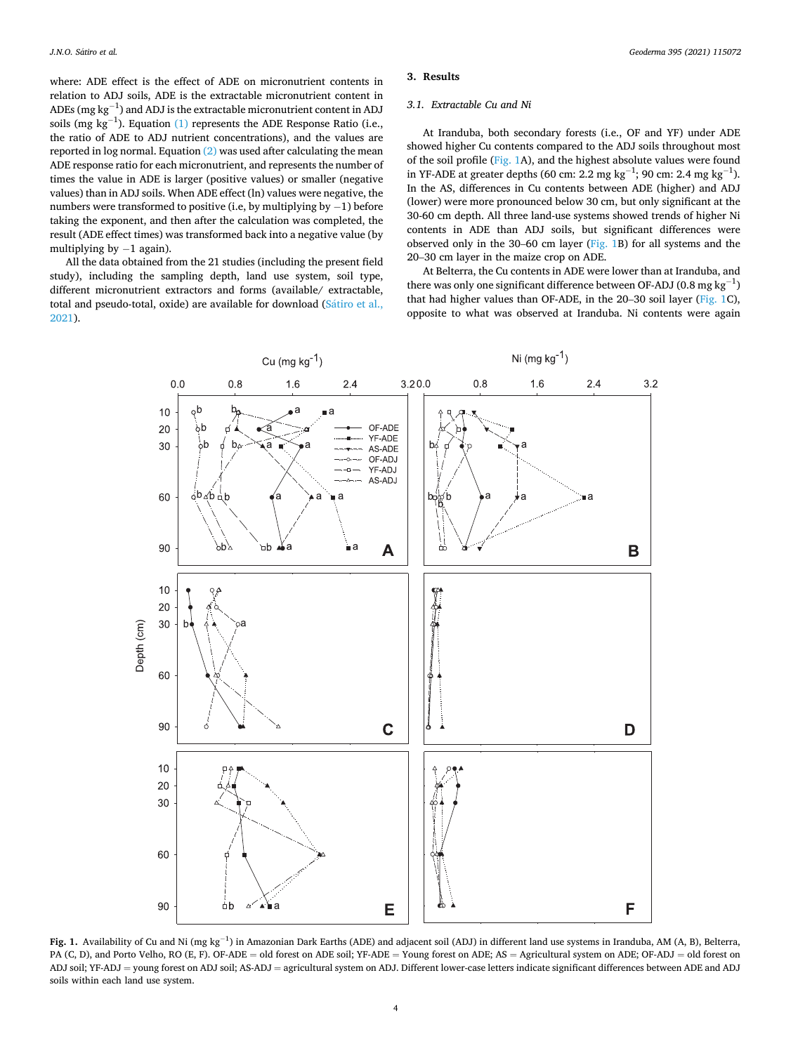<span id="page-3-0"></span>where: ADE effect is the effect of ADE on micronutrient contents in relation to ADJ soils, ADE is the extractable micronutrient content in ADEs (mg  $\text{kg}^{-1}$ ) and ADJ is the extractable micronutrient content in ADJ soils (mg  $kg^{-1}$ ). Equation [\(1\)](#page-2-0) represents the ADE Response Ratio (i.e., the ratio of ADE to ADJ nutrient concentrations), and the values are reported in log normal. Equation [\(2\)](#page-2-0) was used after calculating the mean ADE response ratio for each micronutrient, and represents the number of times the value in ADE is larger (positive values) or smaller (negative values) than in ADJ soils. When ADE effect (ln) values were negative, the numbers were transformed to positive (i.e, by multiplying by  $-1$ ) before taking the exponent, and then after the calculation was completed, the result (ADE effect times) was transformed back into a negative value (by multiplying by  $-1$  again).

All the data obtained from the 21 studies (including the present field study), including the sampling depth, land use system, soil type, different micronutrient extractors and forms (available/ extractable, total and pseudo-total, oxide) are available for download (Sátiro et al., [2021\)](#page-10-0).

## **3. Results**

#### *3.1. Extractable Cu and Ni*

At Iranduba, both secondary forests (i.e., OF and YF) under ADE showed higher Cu contents compared to the ADJ soils throughout most of the soil profile (Fig. 1A), and the highest absolute values were found in YF-ADE at greater depths (60 cm: 2.2 mg kg<sup>-1</sup>; 90 cm: 2.4 mg kg<sup>-1</sup>). In the AS, differences in Cu contents between ADE (higher) and ADJ (lower) were more pronounced below 30 cm, but only significant at the 30-60 cm depth. All three land-use systems showed trends of higher Ni contents in ADE than ADJ soils, but significant differences were observed only in the 30–60 cm layer (Fig. 1B) for all systems and the 20–30 cm layer in the maize crop on ADE.

At Belterra, the Cu contents in ADE were lower than at Iranduba, and there was only one significant difference between OF-ADJ (0.8 mg  $kg^{-1}$ ) that had higher values than OF-ADE, in the 20–30 soil layer (Fig. 1C), opposite to what was observed at Iranduba. Ni contents were again



**Fig. 1.** Availability of Cu and Ni (mg kg<sup>−1</sup>) in Amazonian Dark Earths (ADE) and adjacent soil (ADJ) in different land use systems in Iranduba, AM (A, B), Belterra, PA (C, D), and Porto Velho, RO (E, F). OF-ADE = old forest on ADE soil; YF-ADE = Young forest on ADE; AS = Agricultural system on ADE; OF-ADJ = old forest on ADJ soil; YF-ADJ = young forest on ADJ soil; AS-ADJ = agricultural system on ADJ. Different lower-case letters indicate significant differences between ADE and ADJ soils within each land use system.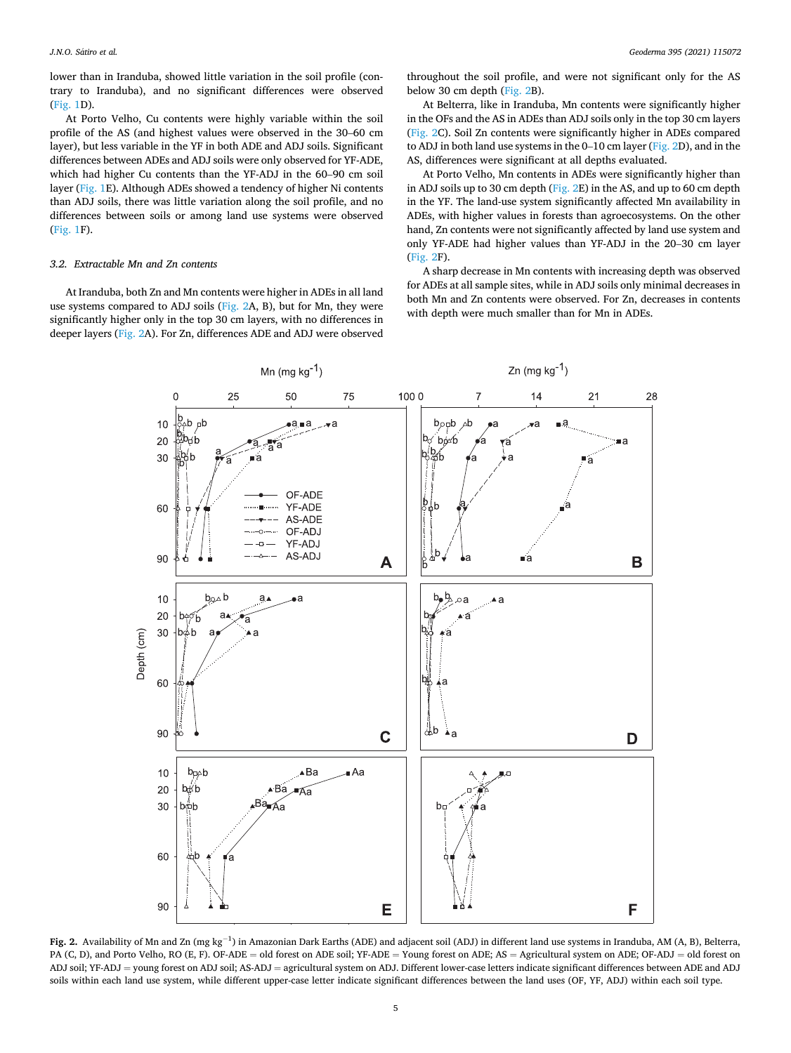lower than in Iranduba, showed little variation in the soil profile (contrary to Iranduba), and no significant differences were observed ([Fig. 1D](#page-3-0)).

At Porto Velho, Cu contents were highly variable within the soil profile of the AS (and highest values were observed in the 30–60 cm layer), but less variable in the YF in both ADE and ADJ soils. Significant differences between ADEs and ADJ soils were only observed for YF-ADE, which had higher Cu contents than the YF-ADJ in the 60–90 cm soil layer [\(Fig. 1E](#page-3-0)). Although ADEs showed a tendency of higher Ni contents than ADJ soils, there was little variation along the soil profile, and no differences between soils or among land use systems were observed ([Fig. 1F](#page-3-0)).

#### *3.2. Extractable Mn and Zn contents*

At Iranduba, both Zn and Mn contents were higher in ADEs in all land use systems compared to ADJ soils (Fig. 2A, B), but for Mn, they were significantly higher only in the top 30 cm layers, with no differences in deeper layers (Fig. 2A). For Zn, differences ADE and ADJ were observed

throughout the soil profile, and were not significant only for the AS below 30 cm depth (Fig. 2B).

At Belterra, like in Iranduba, Mn contents were significantly higher in the OFs and the AS in ADEs than ADJ soils only in the top 30 cm layers (Fig. 2C). Soil Zn contents were significantly higher in ADEs compared to ADJ in both land use systems in the 0–10 cm layer (Fig. 2D), and in the AS, differences were significant at all depths evaluated.

At Porto Velho, Mn contents in ADEs were significantly higher than in ADJ soils up to 30 cm depth (Fig. 2E) in the AS, and up to 60 cm depth in the YF. The land-use system significantly affected Mn availability in ADEs, with higher values in forests than agroecosystems. On the other hand, Zn contents were not significantly affected by land use system and only YF-ADE had higher values than YF-ADJ in the 20–30 cm layer (Fig. 2F).

A sharp decrease in Mn contents with increasing depth was observed for ADEs at all sample sites, while in ADJ soils only minimal decreases in both Mn and Zn contents were observed. For Zn, decreases in contents with depth were much smaller than for Mn in ADEs.



Fig. 2. Availability of Mn and Zn (mg kg<sup>-1</sup>) in Amazonian Dark Earths (ADE) and adjacent soil (ADJ) in different land use systems in Iranduba, AM (A, B), Belterra, PA (C, D), and Porto Velho, RO (E, F). OF-ADE = old forest on ADE soil; YF-ADE = Young forest on ADE; AS = Agricultural system on ADE; OF-ADJ = old forest on ADJ soil; YF-ADJ = young forest on ADJ soil; AS-ADJ = agricultural system on ADJ. Different lower-case letters indicate significant differences between ADE and ADJ soils within each land use system, while different upper-case letter indicate significant differences between the land uses (OF, YF, ADJ) within each soil type.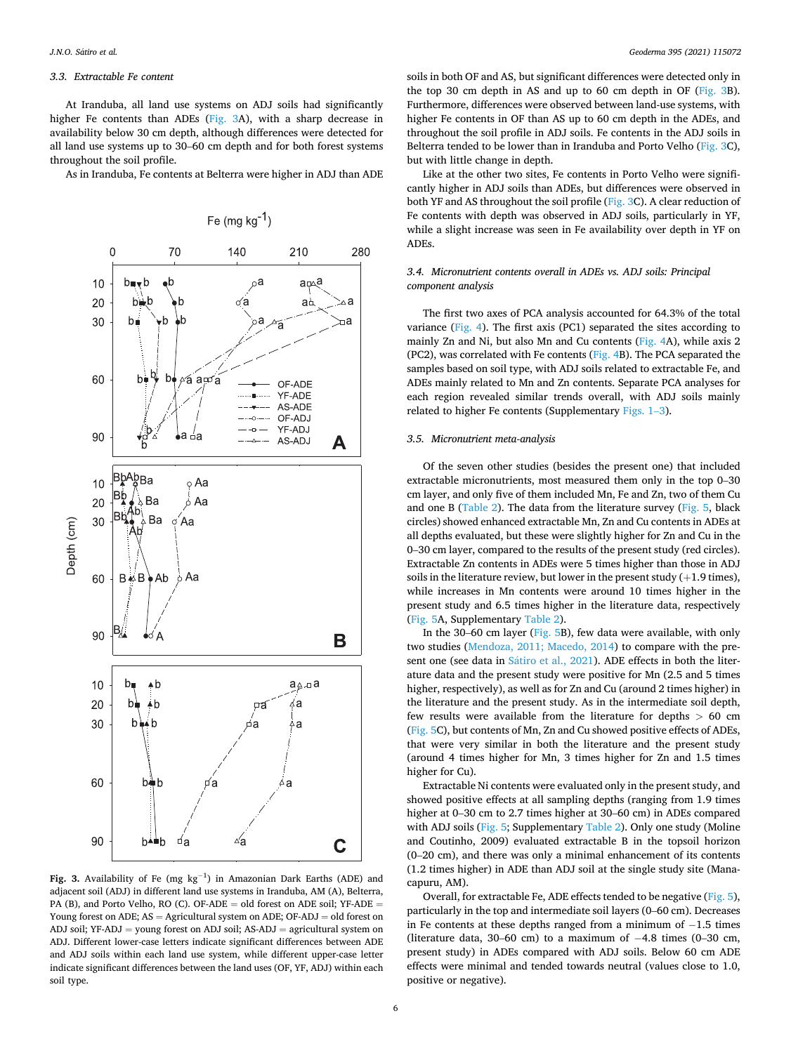## *3.3. Extractable Fe content*

At Iranduba, all land use systems on ADJ soils had significantly higher Fe contents than ADEs (Fig. 3A), with a sharp decrease in availability below 30 cm depth, although differences were detected for all land use systems up to 30–60 cm depth and for both forest systems throughout the soil profile.

As in Iranduba, Fe contents at Belterra were higher in ADJ than ADE



Fig. 3. Availability of Fe (mg kg<sup>-1</sup>) in Amazonian Dark Earths (ADE) and adjacent soil (ADJ) in different land use systems in Iranduba, AM (A), Belterra, PA (B), and Porto Velho, RO (C). OF-ADE = old forest on ADE soil; YF-ADE = Young forest on ADE;  $AS =$  Agricultural system on ADE; OF-ADJ  $=$  old forest on ADJ soil;  $YF-ADJ =$  young forest on ADJ soil;  $AS-ADJ =$  agricultural system on ADJ. Different lower-case letters indicate significant differences between ADE and ADJ soils within each land use system, while different upper-case letter indicate significant differences between the land uses (OF, YF, ADJ) within each soil type.

soils in both OF and AS, but significant differences were detected only in the top 30 cm depth in AS and up to 60 cm depth in OF (Fig. 3B). Furthermore, differences were observed between land-use systems, with higher Fe contents in OF than AS up to 60 cm depth in the ADEs, and throughout the soil profile in ADJ soils. Fe contents in the ADJ soils in Belterra tended to be lower than in Iranduba and Porto Velho (Fig. 3C), but with little change in depth.

Like at the other two sites, Fe contents in Porto Velho were significantly higher in ADJ soils than ADEs, but differences were observed in both YF and AS throughout the soil profile (Fig. 3C). A clear reduction of Fe contents with depth was observed in ADJ soils, particularly in YF, while a slight increase was seen in Fe availability over depth in YF on ADEs.

## *3.4. Micronutrient contents overall in ADEs vs. ADJ soils: Principal component analysis*

The first two axes of PCA analysis accounted for 64.3% of the total variance ([Fig. 4](#page-6-0)). The first axis (PC1) separated the sites according to mainly Zn and Ni, but also Mn and Cu contents [\(Fig. 4A](#page-6-0)), while axis 2 (PC2), was correlated with Fe contents ( $Fig. 4B$  $Fig. 4B$ ). The PCA separated the samples based on soil type, with ADJ soils related to extractable Fe, and ADEs mainly related to Mn and Zn contents. Separate PCA analyses for each region revealed similar trends overall, with ADJ soils mainly related to higher Fe contents (Supplementary [Figs. 1](#page-3-0)–3).

## *3.5. Micronutrient meta-analysis*

Of the seven other studies (besides the present one) that included extractable micronutrients, most measured them only in the top 0–30 cm layer, and only five of them included Mn, Fe and Zn, two of them Cu and one B [\(Table 2\)](#page-2-0). The data from the literature survey ([Fig. 5,](#page-7-0) black circles) showed enhanced extractable Mn, Zn and Cu contents in ADEs at all depths evaluated, but these were slightly higher for Zn and Cu in the 0–30 cm layer, compared to the results of the present study (red circles). Extractable Zn contents in ADEs were 5 times higher than those in ADJ soils in the literature review, but lower in the present study  $(+1.9 \text{ times})$ , while increases in Mn contents were around 10 times higher in the present study and 6.5 times higher in the literature data, respectively ([Fig. 5A](#page-7-0), Supplementary [Table 2\)](#page-2-0).

In the 30–60 cm layer [\(Fig. 5](#page-7-0)B), few data were available, with only two studies ([Mendoza, 2011; Macedo, 2014\)](#page-9-0) to compare with the present one (see data in Sátiro [et al., 2021](#page-10-0)). ADE effects in both the literature data and the present study were positive for Mn (2.5 and 5 times higher, respectively), as well as for Zn and Cu (around 2 times higher) in the literature and the present study. As in the intermediate soil depth, few results were available from the literature for depths *>* 60 cm ([Fig. 5C](#page-7-0)), but contents of Mn, Zn and Cu showed positive effects of ADEs, that were very similar in both the literature and the present study (around 4 times higher for Mn, 3 times higher for Zn and 1.5 times higher for Cu).

Extractable Ni contents were evaluated only in the present study, and showed positive effects at all sampling depths (ranging from 1.9 times higher at 0–30 cm to 2.7 times higher at 30–60 cm) in ADEs compared with ADJ soils [\(Fig. 5;](#page-7-0) Supplementary [Table 2\)](#page-2-0). Only one study (Moline and Coutinho, 2009) evaluated extractable B in the topsoil horizon (0–20 cm), and there was only a minimal enhancement of its contents (1.2 times higher) in ADE than ADJ soil at the single study site (Manacapuru, AM).

Overall, for extractable Fe, ADE effects tended to be negative [\(Fig. 5](#page-7-0)), particularly in the top and intermediate soil layers (0–60 cm). Decreases in Fe contents at these depths ranged from a minimum of − 1.5 times (literature data, 30–60 cm) to a maximum of  $-4.8$  times (0–30 cm, present study) in ADEs compared with ADJ soils. Below 60 cm ADE effects were minimal and tended towards neutral (values close to 1.0, positive or negative).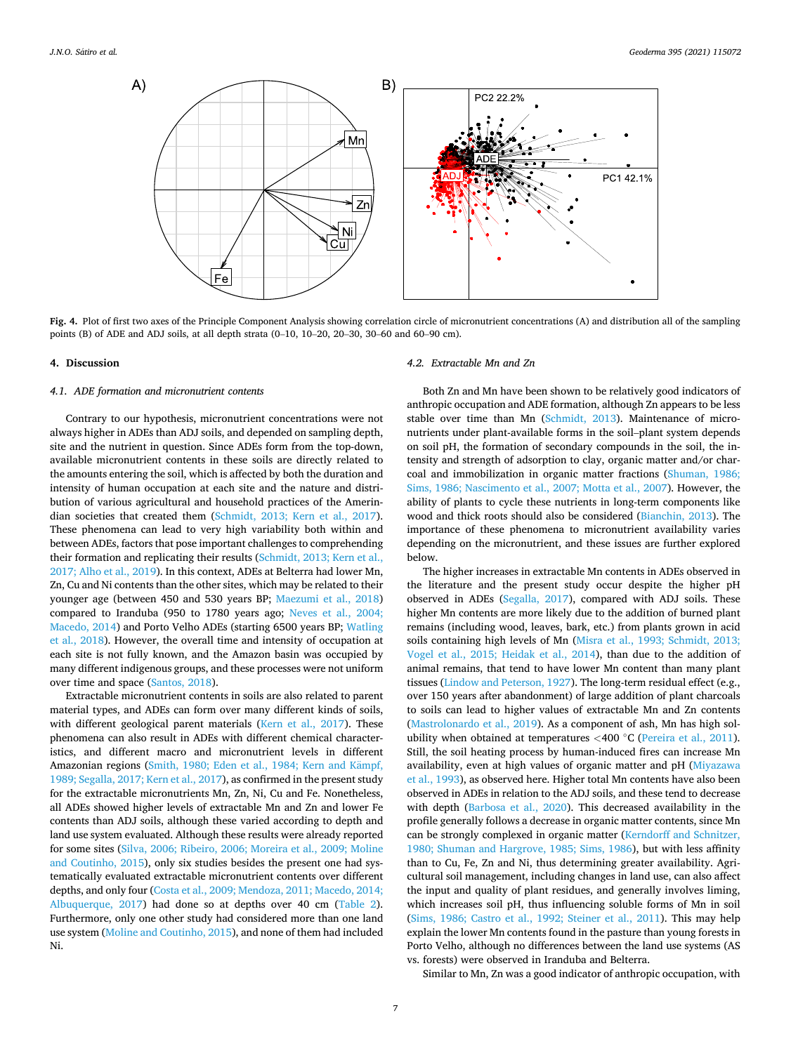<span id="page-6-0"></span>

**Fig. 4.** Plot of first two axes of the Principle Component Analysis showing correlation circle of micronutrient concentrations (A) and distribution all of the sampling points (B) of ADE and ADJ soils, at all depth strata (0–10, 10–20, 20–30, 30–60 and 60–90 cm).

#### **4. Discussion**

#### *4.1. ADE formation and micronutrient contents*

Contrary to our hypothesis, micronutrient concentrations were not always higher in ADEs than ADJ soils, and depended on sampling depth, site and the nutrient in question. Since ADEs form from the top-down, available micronutrient contents in these soils are directly related to the amounts entering the soil, which is affected by both the duration and intensity of human occupation at each site and the nature and distribution of various agricultural and household practices of the Amerindian societies that created them ([Schmidt, 2013; Kern et al., 2017](#page-10-0)). These phenomena can lead to very high variability both within and between ADEs, factors that pose important challenges to comprehending their formation and replicating their results [\(Schmidt, 2013; Kern et al.,](#page-10-0)  [2017; Alho et al., 2019\)](#page-10-0). In this context, ADEs at Belterra had lower Mn, Zn, Cu and Ni contents than the other sites, which may be related to their younger age (between 450 and 530 years BP; [Maezumi et al., 2018\)](#page-9-0) compared to Iranduba (950 to 1780 years ago; [Neves et al., 2004;](#page-10-0)  [Macedo, 2014\)](#page-10-0) and Porto Velho ADEs (starting 6500 years BP; [Watling](#page-10-0)  [et al., 2018](#page-10-0)). However, the overall time and intensity of occupation at each site is not fully known, and the Amazon basin was occupied by many different indigenous groups, and these processes were not uniform over time and space ([Santos, 2018](#page-10-0)).

Extractable micronutrient contents in soils are also related to parent material types, and ADEs can form over many different kinds of soils, with different geological parent materials [\(Kern et al., 2017](#page-9-0)). These phenomena can also result in ADEs with different chemical characteristics, and different macro and micronutrient levels in different Amazonian regions (Smith, 1980; Eden et al., 1984; Kern and Kämpf, [1989; Segalla, 2017; Kern et al., 2017](#page-10-0)), as confirmed in the present study for the extractable micronutrients Mn, Zn, Ni, Cu and Fe. Nonetheless, all ADEs showed higher levels of extractable Mn and Zn and lower Fe contents than ADJ soils, although these varied according to depth and land use system evaluated. Although these results were already reported for some sites [\(Silva, 2006; Ribeiro, 2006; Moreira et al., 2009; Moline](#page-10-0)  [and Coutinho, 2015\)](#page-10-0), only six studies besides the present one had systematically evaluated extractable micronutrient contents over different depths, and only four ([Costa et al., 2009; Mendoza, 2011; Macedo, 2014;](#page-9-0)  [Albuquerque, 2017\)](#page-9-0) had done so at depths over 40 cm [\(Table 2](#page-2-0)). Furthermore, only one other study had considered more than one land use system [\(Moline and Coutinho, 2015\)](#page-10-0), and none of them had included Ni.

## *4.2. Extractable Mn and Zn*

Both Zn and Mn have been shown to be relatively good indicators of anthropic occupation and ADE formation, although Zn appears to be less stable over time than Mn ([Schmidt, 2013](#page-10-0)). Maintenance of micronutrients under plant-available forms in the soil–plant system depends on soil pH, the formation of secondary compounds in the soil, the intensity and strength of adsorption to clay, organic matter and/or charcoal and immobilization in organic matter fractions [\(Shuman, 1986;](#page-10-0)  [Sims, 1986; Nascimento et al., 2007; Motta et al., 2007\)](#page-10-0). However, the ability of plants to cycle these nutrients in long-term components like wood and thick roots should also be considered ([Bianchin, 2013](#page-9-0)). The importance of these phenomena to micronutrient availability varies depending on the micronutrient, and these issues are further explored below.

The higher increases in extractable Mn contents in ADEs observed in the literature and the present study occur despite the higher pH observed in ADEs [\(Segalla, 2017](#page-10-0)), compared with ADJ soils. These higher Mn contents are more likely due to the addition of burned plant remains (including wood, leaves, bark, etc.) from plants grown in acid soils containing high levels of Mn [\(Misra et al., 1993; Schmidt, 2013;](#page-10-0)  [Vogel et al., 2015; Heidak et al., 2014\)](#page-10-0), than due to the addition of animal remains, that tend to have lower Mn content than many plant tissues ([Lindow and Peterson, 1927\)](#page-9-0). The long-term residual effect (e.g., over 150 years after abandonment) of large addition of plant charcoals to soils can lead to higher values of extractable Mn and Zn contents ([Mastrolonardo et al., 2019\)](#page-9-0). As a component of ash, Mn has high solubility when obtained at temperatures *<*400 ◦C [\(Pereira et al., 2011](#page-10-0)). Still, the soil heating process by human-induced fires can increase Mn availability, even at high values of organic matter and pH ([Miyazawa](#page-10-0)  [et al., 1993](#page-10-0)), as observed here. Higher total Mn contents have also been observed in ADEs in relation to the ADJ soils, and these tend to decrease with depth ([Barbosa et al., 2020\)](#page-9-0). This decreased availability in the profile generally follows a decrease in organic matter contents, since Mn can be strongly complexed in organic matter ([Kerndorff and Schnitzer,](#page-9-0)  [1980; Shuman and Hargrove, 1985; Sims, 1986](#page-9-0)), but with less affinity than to Cu, Fe, Zn and Ni, thus determining greater availability. Agricultural soil management, including changes in land use, can also affect the input and quality of plant residues, and generally involves liming, which increases soil pH, thus influencing soluble forms of Mn in soil ([Sims, 1986; Castro et al., 1992; Steiner et al., 2011\)](#page-10-0). This may help explain the lower Mn contents found in the pasture than young forests in Porto Velho, although no differences between the land use systems (AS vs. forests) were observed in Iranduba and Belterra.

Similar to Mn, Zn was a good indicator of anthropic occupation, with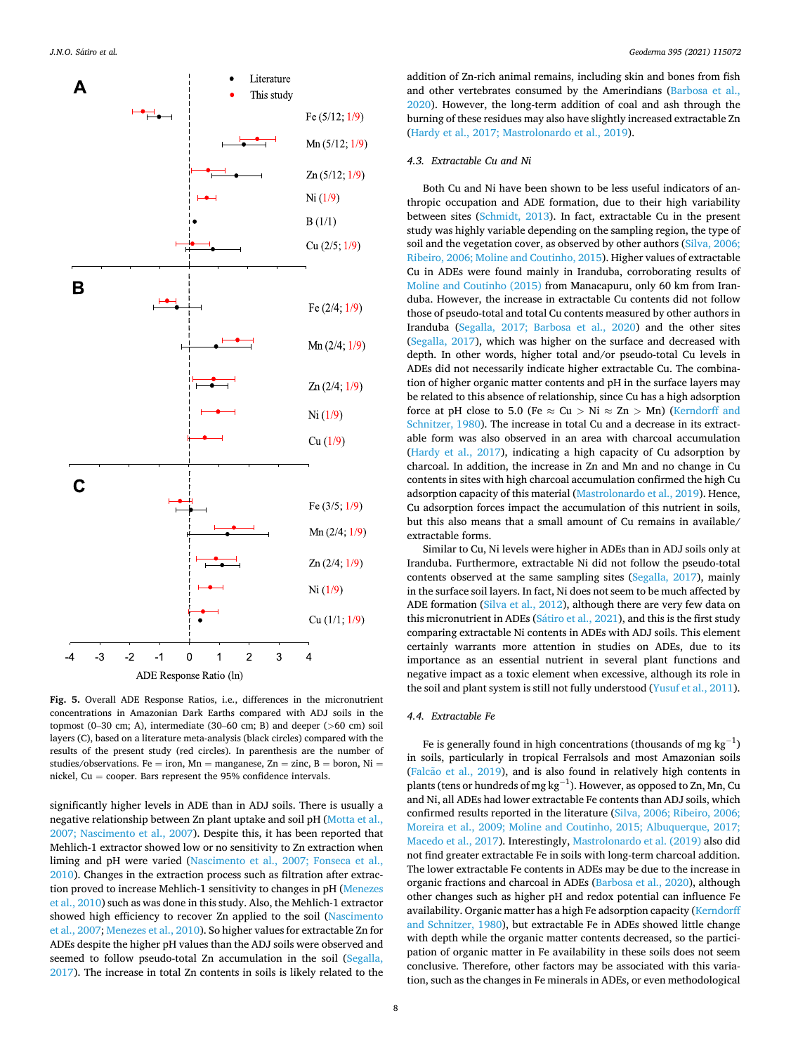<span id="page-7-0"></span>

**Fig. 5.** Overall ADE Response Ratios, i.e., differences in the micronutrient concentrations in Amazonian Dark Earths compared with ADJ soils in the topmost (0–30 cm; A), intermediate (30–60 cm; B) and deeper (*>*60 cm) soil layers (C), based on a literature meta-analysis (black circles) compared with the results of the present study (red circles). In parenthesis are the number of studies/observations. Fe = iron,  $Mn$  = manganese,  $Zn$  = zinc,  $B$  = boron, Ni = nickel, Cu = cooper. Bars represent the 95% confidence intervals.

significantly higher levels in ADE than in ADJ soils. There is usually a negative relationship between Zn plant uptake and soil pH ([Motta et al.,](#page-10-0)  [2007; Nascimento et al., 2007](#page-10-0)). Despite this, it has been reported that Mehlich-1 extractor showed low or no sensitivity to Zn extraction when liming and pH were varied [\(Nascimento et al., 2007; Fonseca et al.,](#page-10-0)  [2010\)](#page-10-0). Changes in the extraction process such as filtration after extraction proved to increase Mehlich-1 sensitivity to changes in pH ([Menezes](#page-9-0)  [et al., 2010](#page-9-0)) such as was done in this study. Also, the Mehlich-1 extractor showed high efficiency to recover Zn applied to the soil [\(Nascimento](#page-10-0)  [et al., 2007](#page-10-0); [Menezes et al., 2010](#page-9-0)). So higher values for extractable Zn for ADEs despite the higher pH values than the ADJ soils were observed and seemed to follow pseudo-total Zn accumulation in the soil [\(Segalla,](#page-10-0)  [2017\)](#page-10-0). The increase in total Zn contents in soils is likely related to the addition of Zn-rich animal remains, including skin and bones from fish and other vertebrates consumed by the Amerindians [\(Barbosa et al.,](#page-9-0)  [2020\)](#page-9-0). However, the long-term addition of coal and ash through the burning of these residues may also have slightly increased extractable Zn ([Hardy et al., 2017; Mastrolonardo et al., 2019\)](#page-9-0).

#### *4.3. Extractable Cu and Ni*

Both Cu and Ni have been shown to be less useful indicators of anthropic occupation and ADE formation, due to their high variability between sites [\(Schmidt, 2013\)](#page-10-0). In fact, extractable Cu in the present study was highly variable depending on the sampling region, the type of soil and the vegetation cover, as observed by other authors (Silva, 2006; [Ribeiro, 2006; Moline and Coutinho, 2015](#page-10-0)). Higher values of extractable Cu in ADEs were found mainly in Iranduba, corroborating results of [Moline and Coutinho \(2015\)](#page-10-0) from Manacapuru, only 60 km from Iranduba. However, the increase in extractable Cu contents did not follow those of pseudo-total and total Cu contents measured by other authors in Iranduba ([Segalla, 2017; Barbosa et al., 2020\)](#page-10-0) and the other sites ([Segalla, 2017\)](#page-10-0), which was higher on the surface and decreased with depth. In other words, higher total and/or pseudo-total Cu levels in ADEs did not necessarily indicate higher extractable Cu. The combination of higher organic matter contents and pH in the surface layers may be related to this absence of relationship, since Cu has a high adsorption force at pH close to 5.0 (Fe  $\approx$  Cu  $>$  Ni  $\approx$  Zn  $>$  Mn) (Kerndorff and [Schnitzer, 1980\)](#page-9-0). The increase in total Cu and a decrease in its extractable form was also observed in an area with charcoal accumulation ([Hardy et al., 2017](#page-9-0)), indicating a high capacity of Cu adsorption by charcoal. In addition, the increase in Zn and Mn and no change in Cu contents in sites with high charcoal accumulation confirmed the high Cu adsorption capacity of this material [\(Mastrolonardo et al., 2019\)](#page-9-0). Hence, Cu adsorption forces impact the accumulation of this nutrient in soils, but this also means that a small amount of Cu remains in available/ extractable forms.

Similar to Cu, Ni levels were higher in ADEs than in ADJ soils only at Iranduba. Furthermore, extractable Ni did not follow the pseudo-total contents observed at the same sampling sites [\(Segalla, 2017\)](#page-10-0), mainly in the surface soil layers. In fact, Ni does not seem to be much affected by ADE formation [\(Silva et al., 2012\)](#page-10-0), although there are very few data on this micronutrient in ADEs (Sátiro et al., 2021), and this is the first study comparing extractable Ni contents in ADEs with ADJ soils. This element certainly warrants more attention in studies on ADEs, due to its importance as an essential nutrient in several plant functions and negative impact as a toxic element when excessive, although its role in the soil and plant system is still not fully understood ([Yusuf et al., 2011](#page-10-0)).

## *4.4. Extractable Fe*

Fe is generally found in high concentrations (thousands of mg  $kg^{-1}$ ) in soils, particularly in tropical Ferralsols and most Amazonian soils (Falcão [et al., 2019\)](#page-9-0), and is also found in relatively high contents in plants (tens or hundreds of mg  $kg^{-1}$ ). However, as opposed to Zn, Mn, Cu and Ni, all ADEs had lower extractable Fe contents than ADJ soils, which confirmed results reported in the literature [\(Silva, 2006; Ribeiro, 2006;](#page-10-0)  [Moreira et al., 2009; Moline and Coutinho, 2015; Albuquerque, 2017;](#page-10-0)  [Macedo et al., 2017\)](#page-10-0). Interestingly, [Mastrolonardo et al. \(2019\)](#page-9-0) also did not find greater extractable Fe in soils with long-term charcoal addition. The lower extractable Fe contents in ADEs may be due to the increase in organic fractions and charcoal in ADEs ([Barbosa et al., 2020\)](#page-9-0), although other changes such as higher pH and redox potential can influence Fe availability. Organic matter has a high Fe adsorption capacity ([Kerndorff](#page-9-0)  [and Schnitzer, 1980](#page-9-0)), but extractable Fe in ADEs showed little change with depth while the organic matter contents decreased, so the participation of organic matter in Fe availability in these soils does not seem conclusive. Therefore, other factors may be associated with this variation, such as the changes in Fe minerals in ADEs, or even methodological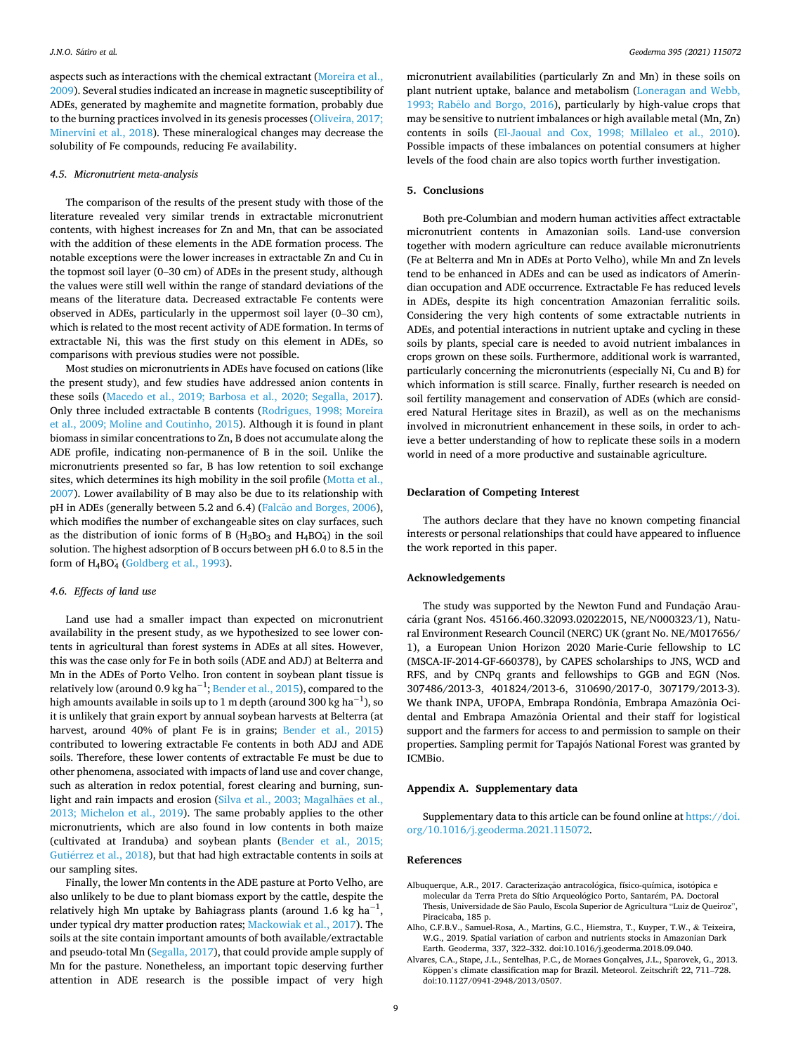<span id="page-8-0"></span>aspects such as interactions with the chemical extractant ([Moreira et al.,](#page-10-0)  [2009\)](#page-10-0). Several studies indicated an increase in magnetic susceptibility of ADEs, generated by maghemite and magnetite formation, probably due to the burning practices involved in its genesis processes [\(Oliveira, 2017;](#page-10-0)  [Minervini et al., 2018](#page-10-0)). These mineralogical changes may decrease the solubility of Fe compounds, reducing Fe availability.

#### *4.5. Micronutrient meta-analysis*

The comparison of the results of the present study with those of the literature revealed very similar trends in extractable micronutrient contents, with highest increases for Zn and Mn, that can be associated with the addition of these elements in the ADE formation process. The notable exceptions were the lower increases in extractable Zn and Cu in the topmost soil layer (0–30 cm) of ADEs in the present study, although the values were still well within the range of standard deviations of the means of the literature data. Decreased extractable Fe contents were observed in ADEs, particularly in the uppermost soil layer (0–30 cm), which is related to the most recent activity of ADE formation. In terms of extractable Ni, this was the first study on this element in ADEs, so comparisons with previous studies were not possible.

Most studies on micronutrients in ADEs have focused on cations (like the present study), and few studies have addressed anion contents in these soils [\(Macedo et al., 2019; Barbosa et al., 2020; Segalla, 2017](#page-9-0)). Only three included extractable B contents [\(Rodrigues, 1998; Moreira](#page-10-0)  [et al., 2009; Moline and Coutinho, 2015](#page-10-0)). Although it is found in plant biomass in similar concentrations to Zn, B does not accumulate along the ADE profile, indicating non-permanence of B in the soil. Unlike the micronutrients presented so far, B has low retention to soil exchange sites, which determines its high mobility in the soil profile [\(Motta et al.,](#page-10-0)  [2007\)](#page-10-0). Lower availability of B may also be due to its relationship with pH in ADEs (generally between 5.2 and 6.4) (Falcão [and Borges, 2006](#page-9-0)), which modifies the number of exchangeable sites on clay surfaces, such as the distribution of ionic forms of B  $(H_3BO_3 \text{ and } H_4BO_4)$  in the soil solution. The highest adsorption of B occurs between pH 6.0 to 8.5 in the form of  $H_4BO_4$  ([Goldberg et al., 1993\)](#page-9-0).

#### *4.6. Effects of land use*

Land use had a smaller impact than expected on micronutrient availability in the present study, as we hypothesized to see lower contents in agricultural than forest systems in ADEs at all sites. However, this was the case only for Fe in both soils (ADE and ADJ) at Belterra and Mn in the ADEs of Porto Velho. Iron content in soybean plant tissue is relatively low (around 0.9 kg ha $^{-1}$ ; [Bender et al., 2015](#page-9-0)), compared to the high amounts available in soils up to 1 m depth (around 300 kg ha $^{\rm -1}$ ), so it is unlikely that grain export by annual soybean harvests at Belterra (at harvest, around 40% of plant Fe is in grains; [Bender et al., 2015\)](#page-9-0) contributed to lowering extractable Fe contents in both ADJ and ADE soils. Therefore, these lower contents of extractable Fe must be due to other phenomena, associated with impacts of land use and cover change, such as alteration in redox potential, forest clearing and burning, sunlight and rain impacts and erosion (Silva et al., 2003; Magalhães et al., [2013; Michelon et al., 2019](#page-10-0)). The same probably applies to the other micronutrients, which are also found in low contents in both maize (cultivated at Iranduba) and soybean plants ([Bender et al., 2015;](#page-9-0)  Gutiérrez et al., 2018), but that had high extractable contents in soils at our sampling sites.

Finally, the lower Mn contents in the ADE pasture at Porto Velho, are also unlikely to be due to plant biomass export by the cattle, despite the relatively high Mn uptake by Bahiagrass plants (around 1.6 kg ha $^{-1}$ , under typical dry matter production rates; [Mackowiak et al., 2017](#page-9-0)). The soils at the site contain important amounts of both available/extractable and pseudo-total Mn [\(Segalla, 2017\)](#page-10-0), that could provide ample supply of Mn for the pasture. Nonetheless, an important topic deserving further attention in ADE research is the possible impact of very high

micronutrient availabilities (particularly Zn and Mn) in these soils on plant nutrient uptake, balance and metabolism ([Loneragan and Webb,](#page-9-0)  1993; Rabêlo and Borgo, 2016), particularly by high-value crops that may be sensitive to nutrient imbalances or high available metal (Mn, Zn) contents in soils [\(El-Jaoual and Cox, 1998; Millaleo et al., 2010](#page-9-0)). Possible impacts of these imbalances on potential consumers at higher levels of the food chain are also topics worth further investigation.

## **5. Conclusions**

Both pre-Columbian and modern human activities affect extractable micronutrient contents in Amazonian soils. Land-use conversion together with modern agriculture can reduce available micronutrients (Fe at Belterra and Mn in ADEs at Porto Velho), while Mn and Zn levels tend to be enhanced in ADEs and can be used as indicators of Amerindian occupation and ADE occurrence. Extractable Fe has reduced levels in ADEs, despite its high concentration Amazonian ferralitic soils. Considering the very high contents of some extractable nutrients in ADEs, and potential interactions in nutrient uptake and cycling in these soils by plants, special care is needed to avoid nutrient imbalances in crops grown on these soils. Furthermore, additional work is warranted, particularly concerning the micronutrients (especially Ni, Cu and B) for which information is still scarce. Finally, further research is needed on soil fertility management and conservation of ADEs (which are considered Natural Heritage sites in Brazil), as well as on the mechanisms involved in micronutrient enhancement in these soils, in order to achieve a better understanding of how to replicate these soils in a modern world in need of a more productive and sustainable agriculture.

## **Declaration of Competing Interest**

The authors declare that they have no known competing financial interests or personal relationships that could have appeared to influence the work reported in this paper.

#### **Acknowledgements**

The study was supported by the Newton Fund and Fundação Araucária (grant Nos. 45166.460.32093.02022015, NE/N000323/1), Natural Environment Research Council (NERC) UK (grant No. NE/M017656/ 1), a European Union Horizon 2020 Marie-Curie fellowship to LC (MSCA-IF-2014-GF-660378), by CAPES scholarships to JNS, WCD and RFS, and by CNPq grants and fellowships to GGB and EGN (Nos. 307486/2013-3, 401824/2013-6, 310690/2017-0, 307179/2013-3). We thank INPA, UFOPA, Embrapa Rondônia, Embrapa Amazônia Ocidental and Embrapa Amazônia Oriental and their staff for logistical support and the farmers for access to and permission to sample on their properties. Sampling permit for Tapajós National Forest was granted by ICMBio.

## **Appendix A. Supplementary data**

Supplementary data to this article can be found online at [https://doi.](https://doi.org/10.1016/j.geoderma.2021.115072)  [org/10.1016/j.geoderma.2021.115072.](https://doi.org/10.1016/j.geoderma.2021.115072)

#### **References**

- Albuquerque, A.R., 2017. Caracterização antracológica, físico-química, isotópica e molecular da Terra Preta do Sítio Arqueológico Porto, Santarém, PA. Doctoral Thesis, Universidade de São Paulo, Escola Superior de Agricultura "Luiz de Queiroz", Piracicaba, 185 p.
- Alho, C.F.B.V., Samuel-Rosa, A., Martins, G.C., Hiemstra, T., Kuyper, T.W., & Teixeira, W.G., 2019. Spatial variation of carbon and nutrients stocks in Amazonian Dark Earth. Geoderma, 337, 322–332. doi:10.1016/j.geoderma.2018.09.040.
- Alvares, C.A., Stape, J.L., Sentelhas, P.C., de Moraes Gonçalves, J.L., Sparovek, G., 2013. Köppen's climate classification map for Brazil. Meteorol. Zeitschrift 22, 711–728. doi:10.1127/0941-2948/2013/0507.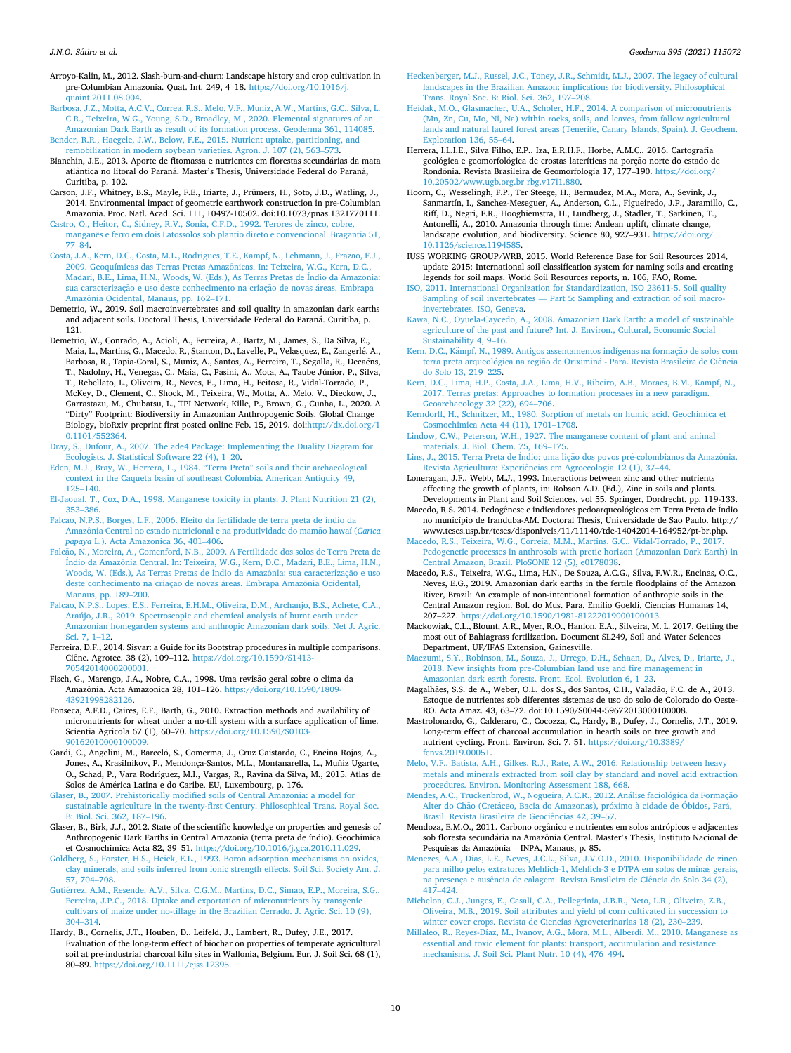- <span id="page-9-0"></span>Arroyo-Kalin, M., 2012. Slash-burn-and-churn: Landscape history and crop cultivation in pre-Columbian Amazonia. Quat. Int. 249, 4–18. [https://doi.org/10.1016/j.](https://doi.org/10.1016/j.quaint.2011.08.004) [quaint.2011.08.004](https://doi.org/10.1016/j.quaint.2011.08.004).
- [Barbosa, J.Z., Motta, A.C.V., Correa, R.S., Melo, V.F., Muniz, A.W., Martins, G.C., Silva, L.](http://refhub.elsevier.com/S0016-7061(21)00146-4/h0025)  [C.R., Teixeira, W.G., Young, S.D., Broadley, M., 2020. Elemental signatures of an](http://refhub.elsevier.com/S0016-7061(21)00146-4/h0025) [Amazonian Dark Earth as result of its formation process. Geoderma 361, 114085.](http://refhub.elsevier.com/S0016-7061(21)00146-4/h0025)
- [Bender, R.R., Haegele, J.W., Below, F.E., 2015. Nutrient uptake, partitioning, and](http://refhub.elsevier.com/S0016-7061(21)00146-4/h0030) [remobilization in modern soybean varieties. Agron. J. 107 \(2\), 563](http://refhub.elsevier.com/S0016-7061(21)00146-4/h0030)–573.
- Bianchin, J.E., 2013. Aporte de fitomassa e nutrientes em florestas secundárias da mata atlântica no litoral do Paraná. Master's Thesis, Universidade Federal do Paraná, Curitiba, p. 102.
- Carson, J.F., Whitney, B.S., Mayle, F.E., Iriarte, J., Prümers, H., Soto, J.D., Watling, J., 2014. Environmental impact of geometric earthwork construction in pre-Columbian Amazonia. Proc. Natl. Acad. Sci. 111, 10497-10502. doi:10.1073/pnas.1321770111.
- [Castro, O., Heitor, C., Sidney, R.V., Sonia, C.F.D., 1992. Terores de zinco, cobre,](http://refhub.elsevier.com/S0016-7061(21)00146-4/h0045) manganˆ[es e ferro em dois Latossolos sob plantio direto e convencional. Bragantia 51,](http://refhub.elsevier.com/S0016-7061(21)00146-4/h0045)  77–[84](http://refhub.elsevier.com/S0016-7061(21)00146-4/h0045).
- Costa, J.A., Kern, D.C., Costa, M.L., Rodrigues, T.E., Kampf, N., Lehmann, J., Frazão, F.J., 2009. Geoquímicas das Terras Pretas Amazônicas. In: Teixeira, W.G., Kern, D.C. [Madari, B.E., Lima, H.N., Woods, W. \(Eds.\), As Terras Pretas de](http://refhub.elsevier.com/S0016-7061(21)00146-4/h0050) Índio da Amazônia: sua caracterização e uso deste conhecimento na criação de novas áreas. Embrapa Amazônia [Ocidental, Manaus, pp. 162](http://refhub.elsevier.com/S0016-7061(21)00146-4/h0050)-171.
- Demetrio, W., 2019. Soil macroinvertebrates and soil quality in amazonian dark earths and adjacent soils. Doctoral Thesis, Universidade Federal do Paraná. Curitiba, p. 121.
- Demetrio, W., Conrado, A., Acioli, A., Ferreira, A., Bartz, M., James, S., Da Silva, E., Maia, L., Martins, G., Macedo, R., Stanton, D., Lavelle, P., Velasquez, E., Zangerlé, A., Barbosa, R., Tapia-Coral, S., Muniz, A., Santos, A., Ferreira, T., Segalla, R., Decaëns, T., Nadolny, H., Venegas, C., Maia, C., Pasini, A., Mota, A., Taube Júnior, P., Silva, T., Rebellato, L., Oliveira, R., Neves, E., Lima, H., Feitosa, R., Vidal-Torrado, P., McKey, D., Clement, C., Shock, M., Teixeira, W., Motta, A., Melo, V., Dieckow, J., Garrastazu, M., Chubatsu, L., TPI Network, Kille, P., Brown, G., Cunha, L., 2020. A "Dirty" Footprint: Biodiversity in Amazonian Anthropogenic Soils. Global Change Biology, bioRxiv preprint first posted online Feb. 15, 2019. doi:[http://dx.doi.org/1](http://dx.doi.org/10.1101/552364)  [0.1101/552364.](http://dx.doi.org/10.1101/552364)
- [Dray, S., Dufour, A., 2007. The ade4 Package: Implementing the Duality Diagram for](http://refhub.elsevier.com/S0016-7061(21)00146-4/h0070)  [Ecologists. J. Statistical Software 22 \(4\), 1](http://refhub.elsevier.com/S0016-7061(21)00146-4/h0070)–20.
- [Eden, M.J., Bray, W., Herrera, L., 1984.](http://refhub.elsevier.com/S0016-7061(21)00146-4/h0075) "Terra Preta" soils and their archaeological [context in the Caqueta basin of southeast Colombia. American Antiquity 49,](http://refhub.elsevier.com/S0016-7061(21)00146-4/h0075) 125–[140](http://refhub.elsevier.com/S0016-7061(21)00146-4/h0075).
- [El-Jaoual, T., Cox, D.A., 1998. Manganese toxicity in plants. J. Plant Nutrition 21 \(2\),](http://refhub.elsevier.com/S0016-7061(21)00146-4/h0080) 353–[386](http://refhub.elsevier.com/S0016-7061(21)00146-4/h0080).
- Falcão, [N.P.S., Borges, L.F., 2006. Efeito da fertilidade de terra preta de índio da](http://refhub.elsevier.com/S0016-7061(21)00146-4/h0085) Amazônia Central no estado nutricional e na produtividade do mamão hawaí (*Carica papaya* [L.\). Acta Amazonica 36, 401](http://refhub.elsevier.com/S0016-7061(21)00146-4/h0085)–406.
- Falcão, N., Moreira, A., Comenford, N.B., 2009. A Fertilidade dos solos de Terra Preta de Índio da Amazônia Central. In: Teixeira, W.G., Kern, D.C., Madari, B.E., Lima, H.N., [Woods, W. \(Eds.\), As Terras Pretas de](http://refhub.elsevier.com/S0016-7061(21)00146-4/h0090) Índio da Amazônia: sua caracterização e uso [deste conhecimento na criaç](http://refhub.elsevier.com/S0016-7061(21)00146-4/h0090)ão de novas áreas. Embrapa Amazônia Ocidental, [Manaus, pp. 189](http://refhub.elsevier.com/S0016-7061(21)00146-4/h0090)–200.
- Falcão, N.P.S., Lopes, E.S., Ferreira, E.H.M., Oliveira, D.M., Archanjo, B.S., Achete, C.A., [Araújo, J.R., 2019. Spectroscopic and chemical analysis of burnt earth under](http://refhub.elsevier.com/S0016-7061(21)00146-4/h0095) [Amazonian homegarden systems and anthropic Amazonian dark soils. Net J. Agric.](http://refhub.elsevier.com/S0016-7061(21)00146-4/h0095)  [Sci. 7, 1](http://refhub.elsevier.com/S0016-7061(21)00146-4/h0095)–12.
- Ferreira, D.F., 2014. Sisvar: a Guide for its Bootstrap procedures in multiple comparisons. Ciênc. Agrotec. 38 (2), 109-112. https://doi.org/10.1590/S1413-[70542014000200001.](https://doi.org/10.1590/S1413-70542014000200001)
- Fisch, G., Marengo, J.A., Nobre, C.A., 1998. Uma revisão geral sobre o clima da Amazônia. Acta Amazonica 28, 101-126. https://doi.org/10.1590/1809-[43921998282126.](https://doi.org/10.1590/1809-43921998282126)
- Fonseca, A.F.D., Caires, E.F., Barth, G., 2010. Extraction methods and availability of micronutrients for wheat under a no-till system with a surface application of lime. Scientia Agricola 67 (1), 60–70. [https://doi.org/10.1590/S0103-](https://doi.org/10.1590/S0103-90162010000100009) [90162010000100009.](https://doi.org/10.1590/S0103-90162010000100009)
- Gardi, C., Angelini, M., Barceló, S., Comerma, J., Cruz Gaistardo, C., Encina Rojas, A., Jones, A., Krasilnikov, P., Mendonça-Santos, M.L., Montanarella, L., Muñiz Ugarte, O., Schad, P., Vara Rodríguez, M.I., Vargas, R., Ravina da Silva, M., 2015. Atlas de Solos de América Latina e do Caribe. EU, Luxembourg, p. 176.
- [Glaser, B., 2007. Prehistorically modified soils of Central Amazonia: a model for](http://refhub.elsevier.com/S0016-7061(21)00146-4/h0120) [sustainable agriculture in the twenty-first Century. Philosophical Trans. Royal Soc.](http://refhub.elsevier.com/S0016-7061(21)00146-4/h0120)  [B: Biol. Sci. 362, 187](http://refhub.elsevier.com/S0016-7061(21)00146-4/h0120)–196.
- Glaser, B., Birk, J.J., 2012. State of the scientific knowledge on properties and genesis of Anthropogenic Dark Earths in Central Amazonia (terra preta de índio). Geochimica et Cosmochimica Acta 82, 39–51.<https://doi.org/10.1016/j.gca.2010.11.029>.
- [Goldberg, S., Forster, H.S., Heick, E.L., 1993. Boron adsorption mechanisms on oxides,](http://refhub.elsevier.com/S0016-7061(21)00146-4/h0130) [clay minerals, and soils inferred from ionic strength effects. Soil Sci. Society Am. J.](http://refhub.elsevier.com/S0016-7061(21)00146-4/h0130)  [57, 704](http://refhub.elsevier.com/S0016-7061(21)00146-4/h0130)–708.
- Gutiérrez, A.M., Resende, A.V., Silva, C.G.M., Martins, D.C., Simão, E.P., Moreira, S.G., [Ferreira, J.P.C., 2018. Uptake and exportation of micronutrients by transgenic](http://refhub.elsevier.com/S0016-7061(21)00146-4/h0135)  [cultivars of maize under no-tillage in the Brazilian Cerrado. J. Agric. Sci. 10 \(9\),](http://refhub.elsevier.com/S0016-7061(21)00146-4/h0135)  304–[314](http://refhub.elsevier.com/S0016-7061(21)00146-4/h0135).
- Hardy, B., Cornelis, J.T., Houben, D., Leifeld, J., Lambert, R., Dufey, J.E., 2017. Evaluation of the long-term effect of biochar on properties of temperate agricultural soil at pre-industrial charcoal kiln sites in Wallonia, Belgium. Eur. J. Soil Sci. 68 (1), 80–89. [https://doi.org/10.1111/ejss.12395.](https://doi.org/10.1111/ejss.12395)
- [Heckenberger, M.J., Russel, J.C., Toney, J.R., Schmidt, M.J., 2007. The legacy of cultural](http://refhub.elsevier.com/S0016-7061(21)00146-4/h0145)  [landscapes in the Brazilian Amazon: implications for biodiversity. Philosophical](http://refhub.elsevier.com/S0016-7061(21)00146-4/h0145) [Trans. Royal Soc. B: Biol. Sci. 362, 197](http://refhub.elsevier.com/S0016-7061(21)00146-4/h0145)–208.
- Heidak, M.O., Glasmacher, U.A., Schöler, H.F., 2014. A comparison of micronutrients [\(Mn, Zn, Cu, Mo, Ni, Na\) within rocks, soils, and leaves, from fallow agricultural](http://refhub.elsevier.com/S0016-7061(21)00146-4/h0150) [lands and natural laurel forest areas \(Tenerife, Canary Islands, Spain\). J. Geochem.](http://refhub.elsevier.com/S0016-7061(21)00146-4/h0150)  [Exploration 136, 55](http://refhub.elsevier.com/S0016-7061(21)00146-4/h0150)–64.
- Herrera, I.L.I.E., Silva Filho, E.P., Iza, E.R.H.F., Horbe, A.M.C., 2016. Cartografia geológica e geomorfológica de crostas lateríticas na porção norte do estado de Rondônia. Revista Brasileira de Geomorfologia 17, 177-190. https://doi.org/ [10.20502/www.ugb.org.br rbg.v17i1.880.](https://doi.org/10.20502/www.ugb.org.br rbg.v17i1.880)
- Hoorn, C., Wesselingh, F.P., Ter Steege, H., Bermudez, M.A., Mora, A., Sevink, J., Sanmartín, I., Sanchez-Meseguer, A., Anderson, C.L., Figueiredo, J.P., Jaramillo, C., Riff, D., Negri, F.R., Hooghiemstra, H., Lundberg, J., Stadler, T., Särkinen, T., Antonelli, A., 2010. Amazonia through time: Andean uplift, climate change, landscape evolution, and biodiversity. Science 80, 927-931. [https://doi.org/](https://doi.org/10.1126/science.1194585) [10.1126/science.1194585](https://doi.org/10.1126/science.1194585).
- IUSS WORKING GROUP/WRB, 2015. World Reference Base for Soil Resources 2014, update 2015: International soil classification system for naming soils and creating legends for soil maps. World Soil Resources reports, n. 106, FAO, Rome.
- [ISO, 2011. International Organization for Standardization, ISO 23611-5. Soil quality](http://refhub.elsevier.com/S0016-7061(21)00146-4/optKiqampx4EX)  Sampling of soil invertebrates — [Part 5: Sampling and extraction of soil macro](http://refhub.elsevier.com/S0016-7061(21)00146-4/optKiqampx4EX)[invertebrates. ISO, Geneva](http://refhub.elsevier.com/S0016-7061(21)00146-4/optKiqampx4EX).
- [Kawa, N.C., Oyuela-Caycedo, A., 2008. Amazonian Dark Earth: a model of sustainable](http://refhub.elsevier.com/S0016-7061(21)00146-4/h0170)  [agriculture of the past and future? Int. J. Environ., Cultural, Economic Social](http://refhub.elsevier.com/S0016-7061(21)00146-4/h0170)  [Sustainability 4, 9](http://refhub.elsevier.com/S0016-7061(21)00146-4/h0170)–16.
- Kern, D.C., Kämpf, N., 1989. Antigos assentamentos indígenas na formação de solos com terra preta arqueológica na região de Oriximiná - Pará. Revista Brasileira de Ciência [do Solo 13, 219](http://refhub.elsevier.com/S0016-7061(21)00146-4/h0175)–225.
- [Kern, D.C., Lima, H.P., Costa, J.A., Lima, H.V., Ribeiro, A.B., Moraes, B.M., Kampf, N.,](http://refhub.elsevier.com/S0016-7061(21)00146-4/h0180)  [2017. Terras pretas: Approaches to formation processes in a new paradigm.](http://refhub.elsevier.com/S0016-7061(21)00146-4/h0180)  [Geoarchaeology 32 \(22\), 694](http://refhub.elsevier.com/S0016-7061(21)00146-4/h0180)–706.
- [Kerndorff, H., Schnitzer, M., 1980. Sorption of metals on humic acid. Geochimica et](http://refhub.elsevier.com/S0016-7061(21)00146-4/h0185) [Cosmochimica Acta 44 \(11\), 1701](http://refhub.elsevier.com/S0016-7061(21)00146-4/h0185)–1708.
- [Lindow, C.W., Peterson, W.H., 1927. The manganese content of plant and animal](http://refhub.elsevier.com/S0016-7061(21)00146-4/h0190) [materials. J. Biol. Chem. 75, 169](http://refhub.elsevier.com/S0016-7061(21)00146-4/h0190)–175.
- [Lins, J., 2015. Terra Preta de](http://refhub.elsevier.com/S0016-7061(21)00146-4/h0195) Índio: uma lição dos povos pré-colombianos da Amazônia. Revista Agricultura: Experiências em Agroecologia 12 (1), 37–44.
- Loneragan, J.F., Webb, M.J., 1993. Interactions between zinc and other nutrients affecting the growth of plants, in: Robson A.D. (Ed.), Zinc in soils and plants. Developments in Plant and Soil Sciences, vol 55. Springer, Dordrecht. pp. 119-133.
- Macedo, R.S. 2014. Pedogênese e indicadores pedoarqueológicos em Terra Preta de Índio no município de Iranduba-AM. Doctoral Thesis, Universidade de São Paulo. http:// www.teses.usp.br/teses/disponiveis/11/11140/tde-14042014-164952/pt-br.php.
- [Macedo, R.S., Teixeira, W.G., Correia, M.M., Martins, G.C., Vidal-Torrado, P., 2017.](http://refhub.elsevier.com/S0016-7061(21)00146-4/h0210)  [Pedogenetic processes in anthrosols with pretic horizon \(Amazonian Dark Earth\) in](http://refhub.elsevier.com/S0016-7061(21)00146-4/h0210)  [Central Amazon, Brazil. PloSONE 12 \(5\), e0178038.](http://refhub.elsevier.com/S0016-7061(21)00146-4/h0210)
- Macedo, R.S., Teixeira, W.G., Lima, H.N., De Souza, A.C.G., Silva, F.W.R., Encinas, O.C., Neves, E.G., 2019. Amazonian dark earths in the fertile floodplains of the Amazon River, Brazil: An example of non-intentional formation of anthropic soils in the Central Amazon region. Bol. do Mus. Para. Emilio Goeldi, Ciencias Humanas 14, 207–227. <https://doi.org/10.1590/1981-81222019000100013>.
- Mackowiak, C.L., Blount, A.R., Myer, R.O., Hanlon, E.A., Silveira, M. L. 2017. Getting the most out of Bahiagrass fertilization. Document SL249, Soil and Water Sciences Department, UF/IFAS Extension, Gainesville.
- [Maezumi, S.Y., Robinson, M., Souza, J., Urrego, D.H., Schaan, D., Alves, D., Iriarte, J.,](http://refhub.elsevier.com/S0016-7061(21)00146-4/h0225) [2018. New insights from pre-Columbian land use and fire management in](http://refhub.elsevier.com/S0016-7061(21)00146-4/h0225) [Amazonian dark earth forests. Front. Ecol. Evolution 6, 1](http://refhub.elsevier.com/S0016-7061(21)00146-4/h0225)–23.
- Magalhães, S.S. de A., Weber, O.L. dos S., dos Santos, C.H., Valadão, F.C. de A., 2013. Estoque de nutrientes sob diferentes sistemas de uso do solo de Colorado do Oeste-RO. Acta Amaz. 43, 63–72. doi:10.1590/S0044-59672013000100008.
- Mastrolonardo, G., Calderaro, C., Cocozza, C., Hardy, B., Dufey, J., Cornelis, J.T., 2019. Long-term effect of charcoal accumulation in hearth soils on tree growth and nutrient cycling. Front. Environ. Sci. 7, 51. https://doi.org/10.338 [fenvs.2019.00051](https://doi.org/10.3389/fenvs.2019.00051).
- [Melo, V.F., Batista, A.H., Gilkes, R.J., Rate, A.W., 2016. Relationship between heavy](http://refhub.elsevier.com/S0016-7061(21)00146-4/h0240)  [metals and minerals extracted from soil clay by standard and novel acid extraction](http://refhub.elsevier.com/S0016-7061(21)00146-4/h0240)  [procedures. Environ. Monitoring Assessment 188, 668.](http://refhub.elsevier.com/S0016-7061(21)00146-4/h0240)
- [Mendes, A.C., Truckenbrod, W., Nogueira, A.C.R., 2012. An](http://refhub.elsevier.com/S0016-7061(21)00146-4/h0245)álise faciológica da Formação Alter do Chão (Cretáceo, Bacia do Amazonas), próximo à cidade de Óbidos, Pará, [Brasil. Revista Brasileira de Geoci](http://refhub.elsevier.com/S0016-7061(21)00146-4/h0245)ências 42, 39-57.
- Mendoza, E.M.O., 2011. Carbono orgânico e nutrientes em solos antrópicos e adjacentes sob floresta secundária na Amazônia Central. Master's Thesis, Instituto Nacional de Pesquisas da Amazônia - INPA, Manaus, p. 85.
- [Menezes, A.A., Dias, L.E., Neves, J.C.L., Silva, J.V.O.D., 2010. Disponibilidade de zinco](http://refhub.elsevier.com/S0016-7061(21)00146-4/h0255) [para milho pelos extratores Mehlich-1, Mehlich-3 e DTPA em solos de minas gerais,](http://refhub.elsevier.com/S0016-7061(21)00146-4/h0255)  na presença e ausência de calagem. Revista Brasileira de Ciência do Solo 34 (2), 417–[424](http://refhub.elsevier.com/S0016-7061(21)00146-4/h0255).
- [Michelon, C.J., Junges, E., Casali, C.A., Pellegrinia, J.B.R., Neto, L.R., Oliveira, Z.B.,](http://refhub.elsevier.com/S0016-7061(21)00146-4/h0260)  [Oliveira, M.B., 2019. Soil attributes and yield of corn cultivated in succession to](http://refhub.elsevier.com/S0016-7061(21)00146-4/h0260) [winter cover crops. Revista de Ciencias Agroveterinarias 18 \(2\), 230](http://refhub.elsevier.com/S0016-7061(21)00146-4/h0260)–239.
- [Millaleo, R., Reyes-Díaz, M., Ivanov, A.G., Mora, M.L., Alberdi, M., 2010. Manganese as](http://refhub.elsevier.com/S0016-7061(21)00146-4/h0265)  [essential and toxic element for plants: transport, accumulation and resistance](http://refhub.elsevier.com/S0016-7061(21)00146-4/h0265) [mechanisms. J. Soil Sci. Plant Nutr. 10 \(4\), 476](http://refhub.elsevier.com/S0016-7061(21)00146-4/h0265)–494.